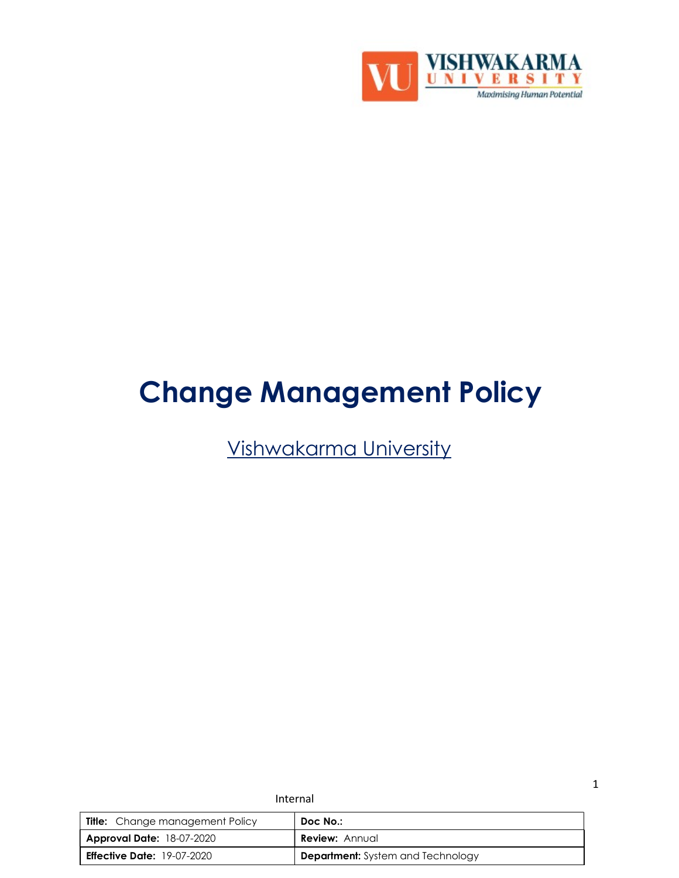

# Change Management Policy

Vishwakarma University

| <b>Title:</b> Change management Policy | Doc No.:                                 |
|----------------------------------------|------------------------------------------|
| <b>Approval Date: 18-07-2020</b>       | <b>Review:</b> Annual                    |
| <b>Effective Date:</b> $19-07-2020$    | <b>Department:</b> System and Technology |

Internal

1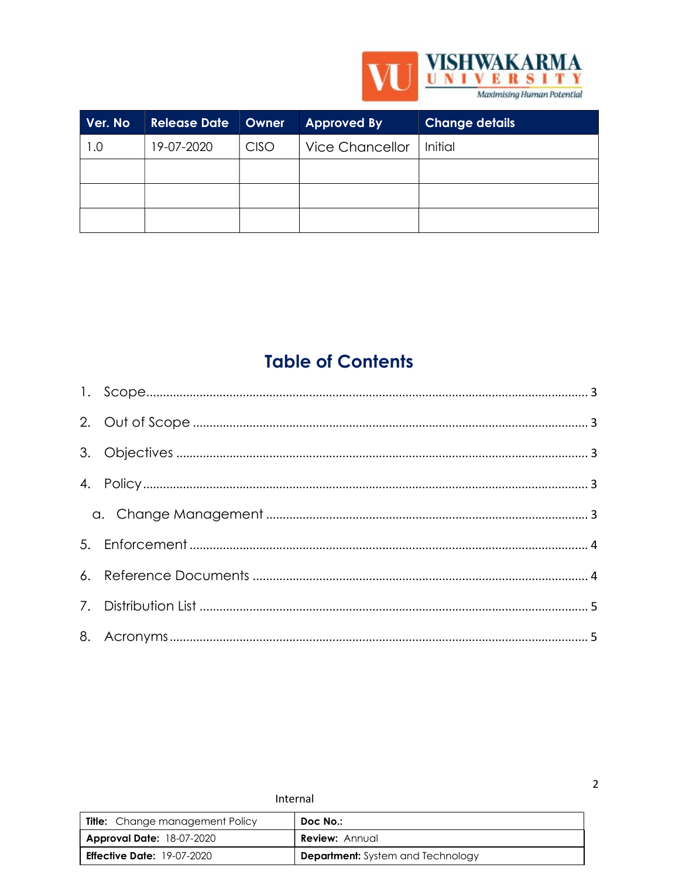

| Ver. No | <b>Release Date Owner</b> |             | <b>Approved By</b> | <b>Change details</b> |
|---------|---------------------------|-------------|--------------------|-----------------------|
| 1.0     | 19-07-2020                | <b>CISO</b> | Vice Chancellor    | <b>Initial</b>        |
|         |                           |             |                    |                       |
|         |                           |             |                    |                       |
|         |                           |             |                    |                       |

# **Table of Contents**

| Internal                               |                                          |  |
|----------------------------------------|------------------------------------------|--|
| <b>Title:</b> Change management Policy | Doc No.:                                 |  |
| <b>Approval Date: 18-07-2020</b>       | <b>Review: Annual</b>                    |  |
| <b>Effective Date: 19-07-2020</b>      | <b>Department:</b> System and Technology |  |

 $\mathbf 2$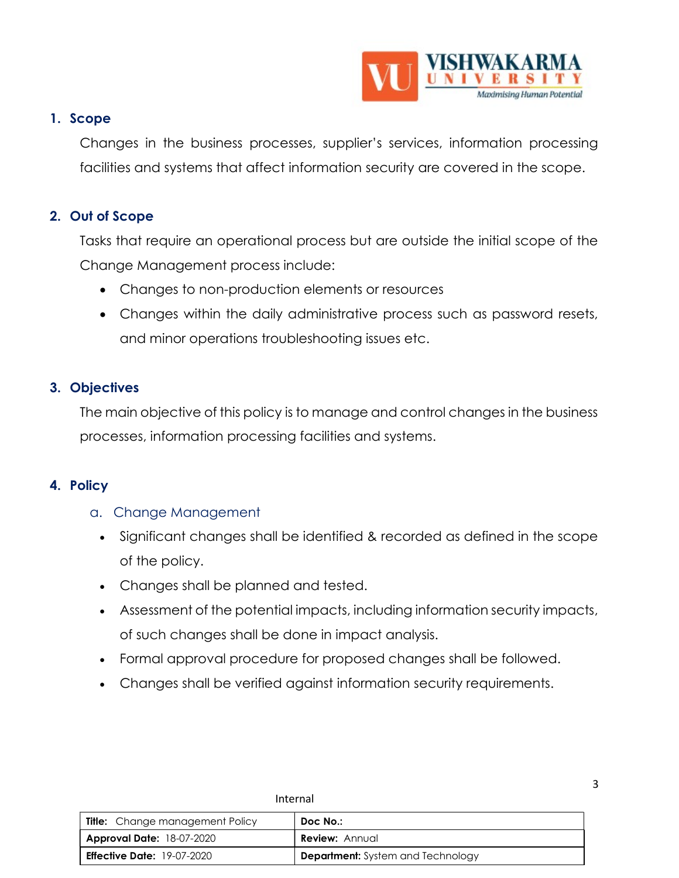

3

#### 1. Scope

Changes in the business processes, supplier's services, information processing facilities and systems that affect information security are covered in the scope.

# 2. Out of Scope

Tasks that require an operational process but are outside the initial scope of the Change Management process include:

- Changes to non-production elements or resources
- Changes within the daily administrative process such as password resets, and minor operations troubleshooting issues etc.

## 3. Objectives

The main objective of this policy is to manage and control changes in the business processes, information processing facilities and systems.

#### 4. Policy

#### a. Change Management

- Significant changes shall be identified & recorded as defined in the scope of the policy.
- Changes shall be planned and tested.
- Assessment of the potential impacts, including information security impacts, of such changes shall be done in impact analysis.
- Formal approval procedure for proposed changes shall be followed.
- Changes shall be verified against information security requirements.

| <b>Title:</b> Change management Policy | Doc No.:                                 |
|----------------------------------------|------------------------------------------|
| <b>Approval Date: 18-07-2020</b>       | <b>Review: Annual</b>                    |
| <b>Effective Date:</b> 19-07-2020      | <b>Department:</b> System and Technology |

Internal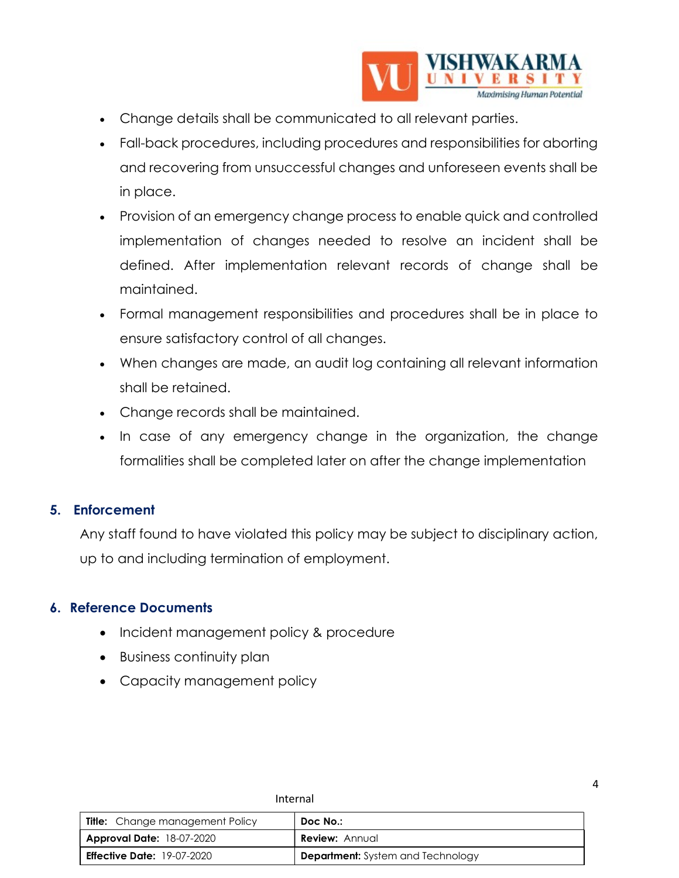

4

- Change details shall be communicated to all relevant parties.
- Fall-back procedures, including procedures and responsibilities for aborting and recovering from unsuccessful changes and unforeseen events shall be in place.
- Provision of an emergency change process to enable quick and controlled implementation of changes needed to resolve an incident shall be defined. After implementation relevant records of change shall be maintained.
- Formal management responsibilities and procedures shall be in place to ensure satisfactory control of all changes.
- When changes are made, an audit log containing all relevant information shall be retained.
- Change records shall be maintained.
- In case of any emergency change in the organization, the change formalities shall be completed later on after the change implementation

#### 5. Enforcement

Any staff found to have violated this policy may be subject to disciplinary action, up to and including termination of employment.

#### 6. Reference Documents

- Incident management policy & procedure
- Business continuity plan
- Capacity management policy

| <b>Title:</b> Change management Policy | Doc No.:                                 |
|----------------------------------------|------------------------------------------|
| <b>Approval Date: 18-07-2020</b>       | <b>Review:</b> Annual                    |
| <b>Effective Date: 19-07-2020</b>      | <b>Department:</b> System and Technology |

Internal